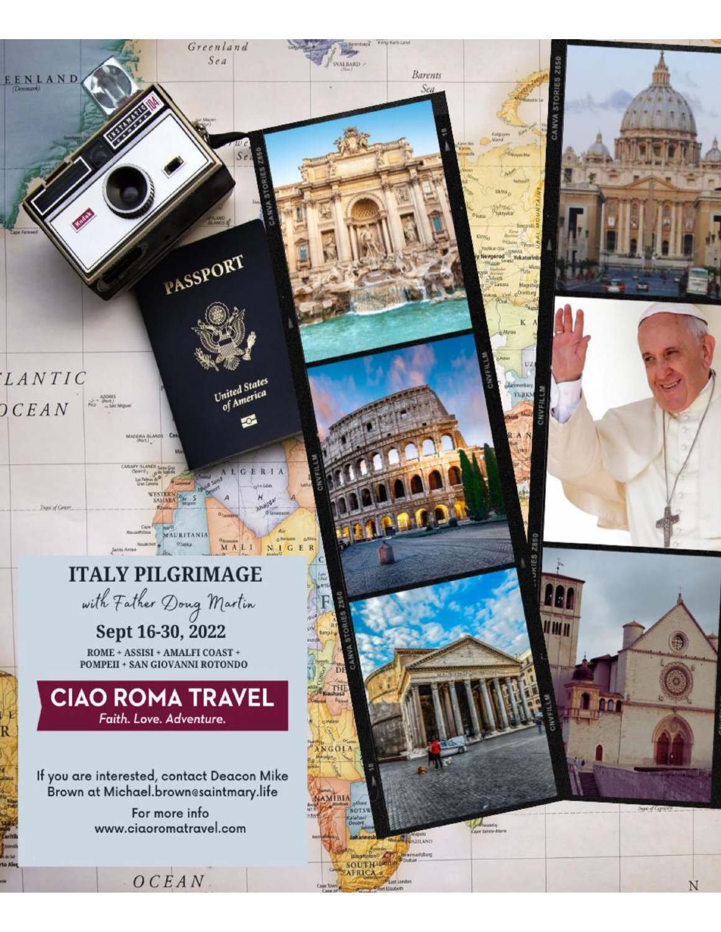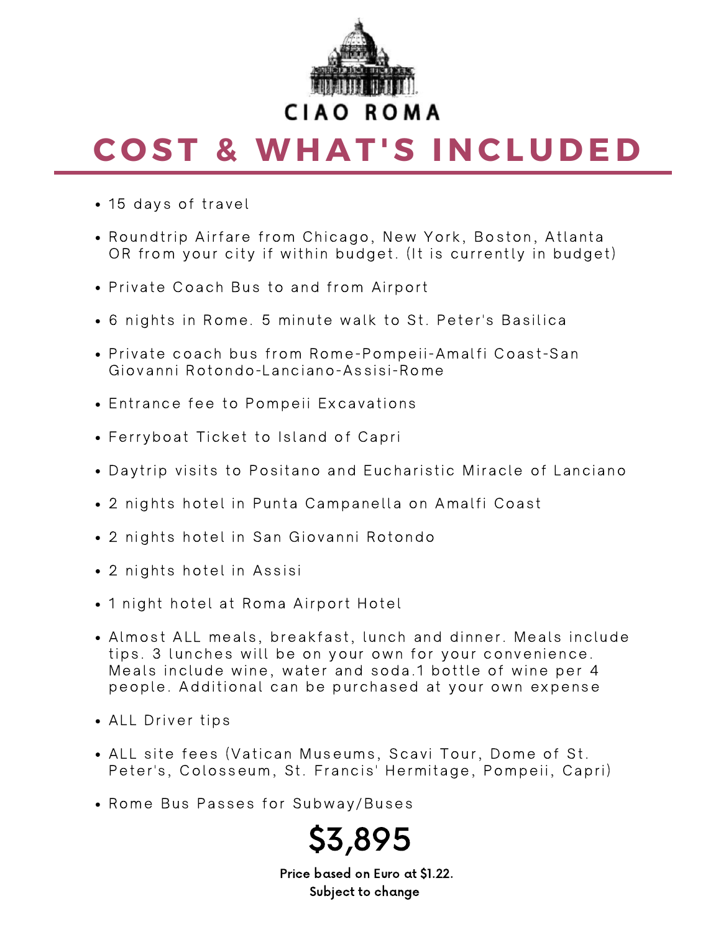

# **C O ST & WH A T 'S I N CL U D E D**

- 15 days of travel
- Roundtrip Airfare from Chicago, New York, Boston, Atlanta OR from your city if within budget. (It is currently in budget)
- Private Coach Bus to and from Airport
- 6 nights in Rome. 5 minute walk to St. Peter's Basilica
- Private coach bus from Rome-Pompeii-Amalfi Coast-San Giovanni Rotondo-Lanciano-Assisi-Rome
- **Entrance fee to Pompeii Excavations**
- Ferryboat Ticket to Island of Capri
- Daytrip visits to Positano and Eucharistic Miracle of Lanciano
- 2 nights hotel in Punta Campanella on Amalfi Coast
- 2 nights hotel in San Giovanni Rotondo
- 2 nights hotel in Assisi
- 1 night hotel at Roma Airport Hotel
- Almost ALL meals, breakfast, lunch and dinner. Meals include tips. 3 lunches will be on your own for your convenience. Meals include wine, water and soda.1 bottle of wine per 4 people. Additional can be purchased at your own expense
- ALL Driver tips
- ALL site fees (Vatican Museums, Scavi Tour, Dome of St. Peter's, Colosseum, St. Francis' Hermitage, Pompeii, Capri)
- Rome Bus Passes for Subway/Buses



Price based on Euro at \$1.22. Subject to change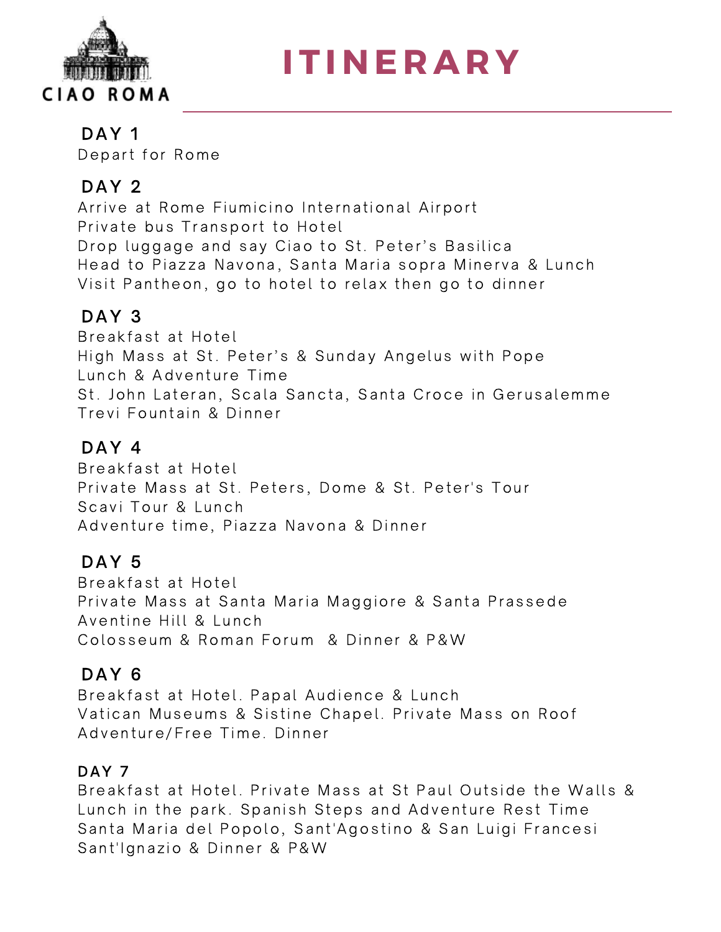

**I T I N E R A R Y**

## DAY<sub>1</sub>

Depart for Rome

## DAY<sub>2</sub>

Arrive at Rome Fiumicino International Airport Private bus Transport to Hotel Drop luggage and say Ciao to St. Peter's Basilica Head to Piazza Navona, Santa Maria sopra Minerva & Lunch Visit Pantheon, go to hotel to relax then go to dinner

# DAY<sub>3</sub>

Breakfast at Hotel High Mass at St. Peter's & Sunday Angelus with Pope Lunch & Adventure Time St. John Lateran, Scala Sancta, Santa Croce in Gerusalemme Trevi Fountain & Dinner

## DAY 4

Breakfast at Hotel Private Mass at St. Peters, Dome & St. Peter's Tour Scavi Tour & Lunch Adventure time, Piazza Navona & Dinner

# DAY<sub>5</sub>

Breakfast at Hotel Private Mass at Santa Maria Maggiore & Santa Prassede Aventine Hill & Lunch Colosseum & Roman Forum & Dinner & P&W

# DAY<sub>6</sub>

Breakfast at Hotel. Papal Audience & Lunch Vatican Museums & Sistine Chapel. Private Mass on Roof Adventure/Free Time. Dinner

# DAY<sub>7</sub>

Breakfast at Hotel. Private Mass at St Paul Outside the Walls & Lunch in the park. Spanish Steps and Adventure Rest Time Santa Maria del Popolo, Sant'Agostino & San Luigi Francesi Sant'Ignazio & Dinner & P&W